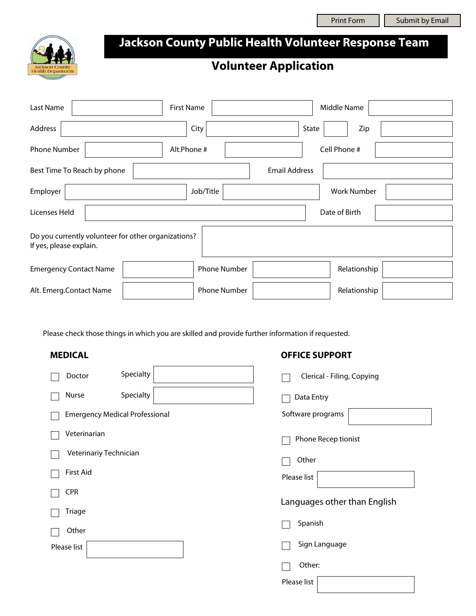

# **Jackson County Public Health Volunteer Response Team**

## **Volunteer Application**

| Last Name                                                                      | <b>First Name</b>   | Middle Name          |  |  |  |  |
|--------------------------------------------------------------------------------|---------------------|----------------------|--|--|--|--|
| Address                                                                        | City                | State<br>Zip         |  |  |  |  |
| <b>Phone Number</b>                                                            | Alt.Phone #         | Cell Phone #         |  |  |  |  |
| Best Time To Reach by phone                                                    |                     | <b>Email Address</b> |  |  |  |  |
| Employer                                                                       | Job/Title           | <b>Work Number</b>   |  |  |  |  |
| Licenses Held                                                                  |                     | Date of Birth        |  |  |  |  |
| Do you currently volunteer for other organizations?<br>If yes, please explain. |                     |                      |  |  |  |  |
| <b>Emergency Contact Name</b>                                                  | <b>Phone Number</b> | Relationship         |  |  |  |  |
| Alt. Emerg. Contact Name                                                       | <b>Phone Number</b> | Relationship         |  |  |  |  |

Please check those things in which you are skilled and provide further information if requested.

| <b>MEDICAL</b>                        | <b>OFFICE SUPPORT</b>        |
|---------------------------------------|------------------------------|
| Specialty<br>Doctor                   | Clerical - Filing, Copying   |
| Specialty<br>Nurse                    | Data Entry                   |
| <b>Emergency Medical Professional</b> | Software programs            |
| Veterinarian                          | Phone Recep tionist          |
| Veterinariy Technician                | Other                        |
| <b>First Aid</b>                      | Please list                  |
| <b>CPR</b>                            | Languages other than English |
| Triage                                |                              |
| Other                                 | Spanish                      |
| Please list                           | Sign Language                |
|                                       | Other:                       |
|                                       | Please list                  |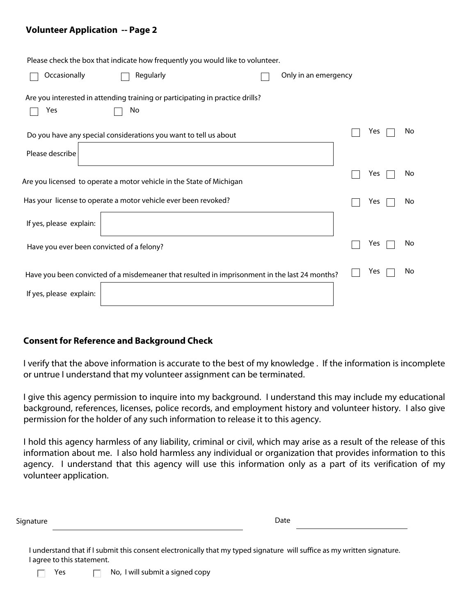#### **Volunteer Application -- Page 2**

| Please check the box that indicate how frequently you would like to volunteer.                |  |                      |     |     |
|-----------------------------------------------------------------------------------------------|--|----------------------|-----|-----|
| Occasionally<br>Regularly                                                                     |  | Only in an emergency |     |     |
| Are you interested in attending training or participating in practice drills?<br>Yes<br>No    |  |                      |     |     |
| Do you have any special considerations you want to tell us about                              |  |                      | Yes | No. |
| Please describe                                                                               |  |                      |     |     |
| Are you licensed to operate a motor vehicle in the State of Michigan                          |  |                      | Yes | No. |
| Has your license to operate a motor vehicle ever been revoked?                                |  |                      | Yes | No. |
| If yes, please explain:                                                                       |  |                      |     |     |
| Have you ever been convicted of a felony?                                                     |  |                      | Yes | No. |
| Have you been convicted of a misdemeaner that resulted in imprisonment in the last 24 months? |  |                      | Yes | No. |
| If yes, please explain:                                                                       |  |                      |     |     |
|                                                                                               |  |                      |     |     |

#### **Consent for Reference and Background Check**

I verify that the above information is accurate to the best of my knowledge . If the information is incomplete or untrue I understand that my volunteer assignment can be terminated.

I give this agency permission to inquire into my background. I understand this may include my educational background, references, licenses, police records, and employment history and volunteer history. I also give permission for the holder of any such information to release it to this agency.

I hold this agency harmless of any liability, criminal or civil, which may arise as a result of the release of this information about me. I also hold harmless any individual or organization that provides information to this agency. I understand that this agency will use this information only as a part of its verification of my volunteer application.

| Signature | Date |
|-----------|------|
|-----------|------|

I understand that if I submit this consent electronically that my typed signature will suffice as my written signature. I agree to this statement.

 $\Box$  Yes  $\Box$  No, I will submit a signed copy